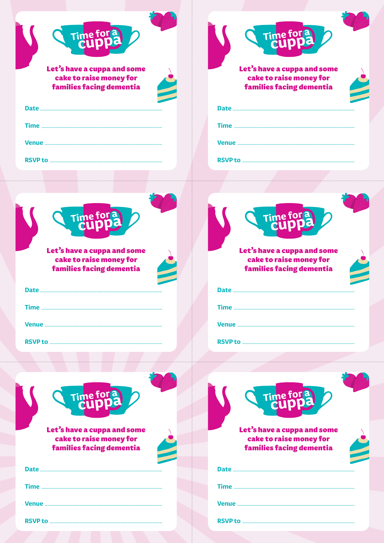| Time for a<br>Let's have a cuppa and some<br>cake to raise money for<br>families facing dementia                                                                                                                                     | Time for a<br>Let's have a cuppa and some<br>cake to raise money for<br><b>families facing dementia</b> |
|--------------------------------------------------------------------------------------------------------------------------------------------------------------------------------------------------------------------------------------|---------------------------------------------------------------------------------------------------------|
| Time for a<br>Let's have a cuppa and some<br>cake to raise money for<br><b>families facing dementia</b>                                                                                                                              | Time for a<br>Let's have a cuppa and some<br>cake to raise money for<br><b>families facing dementia</b> |
|                                                                                                                                                                                                                                      |                                                                                                         |
| Time for a<br>Let's have a cuppa and some<br>cake to raise money for<br>families facing dementia                                                                                                                                     | Time for a<br>Let's have a cuppa and some<br>cake to raise money for<br><b>families facing dementia</b> |
|                                                                                                                                                                                                                                      |                                                                                                         |
|                                                                                                                                                                                                                                      |                                                                                                         |
|                                                                                                                                                                                                                                      |                                                                                                         |
| <b>RSVP to multiple and the contract of the contract of the contract of the contract of the contract of the contract of the contract of the contract of the contract of the contract of the contract of the contract of the cont</b> |                                                                                                         |